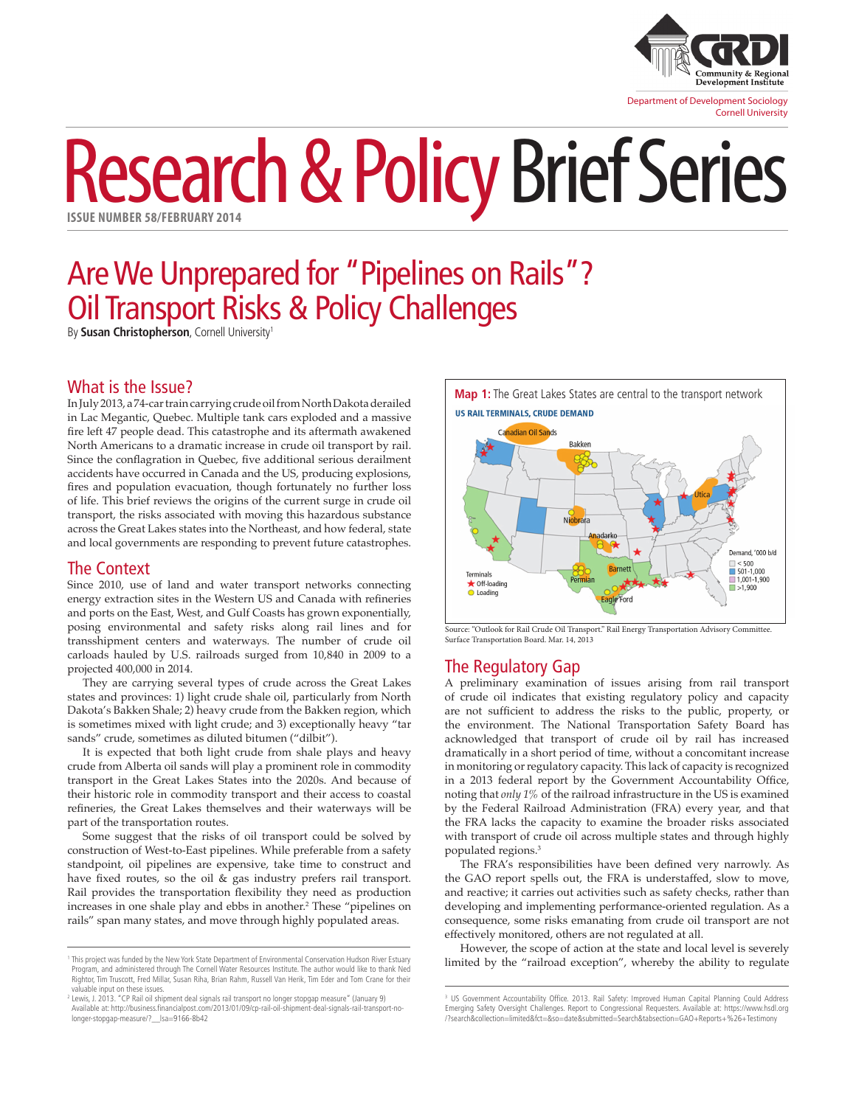

# Research & Policy Brief Series **ISSUE NUMBER 58/FEBRUARY 2014**

# Are We Unprepared for "Pipelines on Rails"? Oil Transport Risks & Policy Challenges

By **Susan Christopherson**, Cornell University<sup>1</sup>

## What is the Issue?

In July 2013, a 74-car train carrying crude oil from North Dakota derailed in Lac Megantic, Quebec. Multiple tank cars exploded and a massive fire left 47 people dead. This catastrophe and its aftermath awakened North Americans to a dramatic increase in crude oil transport by rail. Since the conflagration in Quebec, five additional serious derailment accidents have occurred in Canada and the US, producing explosions, fires and population evacuation, though fortunately no further loss of life. This brief reviews the origins of the current surge in crude oil transport, the risks associated with moving this hazardous substance across the Great Lakes states into the Northeast, and how federal, state and local governments are responding to prevent future catastrophes.

#### The Context

Since 2010, use of land and water transport networks connecting energy extraction sites in the Western US and Canada with refineries and ports on the East, West, and Gulf Coasts has grown exponentially, posing environmental and safety risks along rail lines and for transshipment centers and waterways. The number of crude oil carloads hauled by U.S. railroads surged from 10,840 in 2009 to a projected 400,000 in 2014.

They are carrying several types of crude across the Great Lakes states and provinces: 1) light crude shale oil, particularly from North Dakota's Bakken Shale; 2) heavy crude from the Bakken region, which is sometimes mixed with light crude; and 3) exceptionally heavy "tar sands" crude, sometimes as diluted bitumen ("dilbit").

It is expected that both light crude from shale plays and heavy crude from Alberta oil sands will play a prominent role in commodity transport in the Great Lakes States into the 2020s. And because of their historic role in commodity transport and their access to coastal refineries, the Great Lakes themselves and their waterways will be part of the transportation routes.

Some suggest that the risks of oil transport could be solved by construction of West-to-East pipelines. While preferable from a safety standpoint, oil pipelines are expensive, take time to construct and have fixed routes, so the oil & gas industry prefers rail transport. Rail provides the transportation flexibility they need as production increases in one shale play and ebbs in another.<sup>2</sup> These "pipelines on rails" span many states, and move through highly populated areas.

**Map 1:** The Great Lakes States are central to the transport network **US RAIL TERMINALS, CRUDE DEMAND** 



Source: "Outlook for Rail Crude Oil Transport." Rail Energy Transportation Advisory Committee. Surface Transportation Board. Mar. 14, 2013

# The Regulatory Gap

A preliminary examination of issues arising from rail transport of crude oil indicates that existing regulatory policy and capacity are not sufficient to address the risks to the public, property, or the environment. The National Transportation Safety Board has acknowledged that transport of crude oil by rail has increased dramatically in a short period of time, without a concomitant increase in monitoring or regulatory capacity. This lack of capacity is recognized in a 2013 federal report by the Government Accountability Office, noting that *only 1%* of the railroad infrastructure in the US is examined by the Federal Railroad Administration (FRA) every year, and that the FRA lacks the capacity to examine the broader risks associated with transport of crude oil across multiple states and through highly populated regions.3

The FRA's responsibilities have been defined very narrowly. As the GAO report spells out, the FRA is understaffed, slow to move, and reactive; it carries out activities such as safety checks, rather than developing and implementing performance-oriented regulation. As a consequence, some risks emanating from crude oil transport are not effectively monitored, others are not regulated at all.

However, the scope of action at the state and local level is severely limited by the "railroad exception", whereby the ability to regulate

<sup>1</sup> This project was funded by the New York State Department of Environmental Conservation Hudson River Estuary Program, and administered through The Cornell Water Resources Institute. The author would like to thank Ned Rightor, Tim Truscott, Fred Millar, Susan Riha, Brian Rahm, Russell Van Herik, Tim Eder and Tom Crane for their valuable input on these issues.

<sup>2</sup> Lewis, J. 2013. "CP Rail oil shipment deal signals rail transport no longer stopgap measure" (January 9) Available at: http://business.financialpost.com/2013/01/09/cp-rail-oil-shipment-deal-signals-rail-transport-no-longer-stopgap-measure/?\_\_lsa=9166-8b42

<sup>&</sup>lt;sup>3</sup> US Government Accountability Office. 2013. Rail Safety: Improved Human Capital Planning Could Address Emerging Safety Oversight Challenges. Report to Congressional Requesters. Available at: [https://www.hsdl.org](https://www.hsdl.org/?search&collection=limited&fct=&so=date&submitted=Search&tabsection=GAO+Reports+%26+Testimony) [/?search&collection=limited&fct=&so=date&submitted=Search&tabsection=GAO+Reports+%26+Testimony](https://www.hsdl.org/?search&collection=limited&fct=&so=date&submitted=Search&tabsection=GAO+Reports+%26+Testimony)